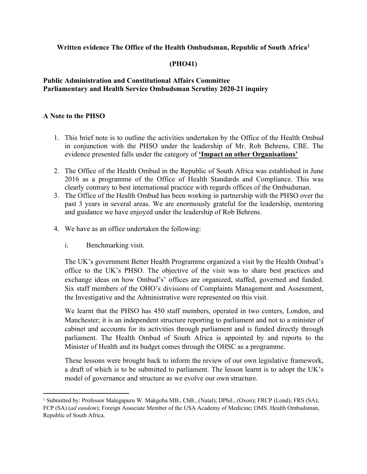## **Written evidence The Office of the Health Ombudsman, Republic of South Africa<sup>1</sup>**

## **(PHO41)**

## **[Public](https://admin.committees.parliament.uk/Committee/Edit/327) [Administration](https://admin.committees.parliament.uk/Committee/Edit/327) [and](https://admin.committees.parliament.uk/Committee/Edit/327) [Constitutional](https://admin.committees.parliament.uk/Committee/Edit/327) [Affairs](https://admin.committees.parliament.uk/Committee/Edit/327) [Committee](https://admin.committees.parliament.uk/Committee/Edit/327) [Parliamentary](https://admin.committees.parliament.uk/Committee/327/CommitteeBusiness/Edit/1503) [and](https://admin.committees.parliament.uk/Committee/327/CommitteeBusiness/Edit/1503) [Health](https://admin.committees.parliament.uk/Committee/327/CommitteeBusiness/Edit/1503) [Service](https://admin.committees.parliament.uk/Committee/327/CommitteeBusiness/Edit/1503) [Ombudsman](https://admin.committees.parliament.uk/Committee/327/CommitteeBusiness/Edit/1503) [Scrutiny](https://admin.committees.parliament.uk/Committee/327/CommitteeBusiness/Edit/1503) [2020-21](https://admin.committees.parliament.uk/Committee/327/CommitteeBusiness/Edit/1503) inquiry**

## **A Note to the PHSO**

- 1. This brief note is to outline the activities undertaken by the Office of the Health Ombud in conjunction with the PHSO under the leadership of Mr. Rob Behrens, CBE. The evidence presented falls under the category of **'Impact on other Organisations'**
- 2. The Office of the Health Ombud in the Republic of South Africa was established in June 2016 as a programme of the Office of Health Standards and Compliance. This was clearly contrary to best international practice with regards offices of the Ombudsman.
- 3. The Office of the Health Ombud has been working in partnership with the PHSO over the past 3 years in several areas. We are enormously grateful for the leadership, mentoring and guidance we have enjoyed under the leadership of Rob Behrens.
- 4. We have as an office undertaken the following:
	- i. Benchmarking visit.

The UK's government Better Health Programme organized a visit by the Health Ombud's office to the UK's PHSO. The objective of the visit was to share best practices and exchange ideas on how Ombud's' offices are organized, staffed, governed and funded. Six staff members of the OHO's divisions of Complaints Management and Assessment, the Investigative and the Administrative were represented on this visit.

We learnt that the PHSO has 450 staff members, operated in two centers, London, and Manchester; it is an independent structure reporting to parliament and not to a minister of cabinet and accounts for its activities through parliament and is funded directly through parliament. The Health Ombud of South Africa is appointed by and reports to the Minister of Health and its budget comes through the OHSC as a programme.

These lessons were brought back to inform the review of our own legislative framework, a draft of which is to be submitted to parliament. The lesson learnt is to adopt the UK's model of governance and structure as we evolve our own structure.

<sup>1</sup> Submitted by: Professor Malegapuru W. Makgoba MB., ChB., (Natal); DPhil., (Oxon); FRCP (Lond); FRS (SA); FCP (SA) (*ad eundem*); Foreign Associate Member of the USA Academy of Medicine; OMS. Health Ombudsman, Republic of South Africa.